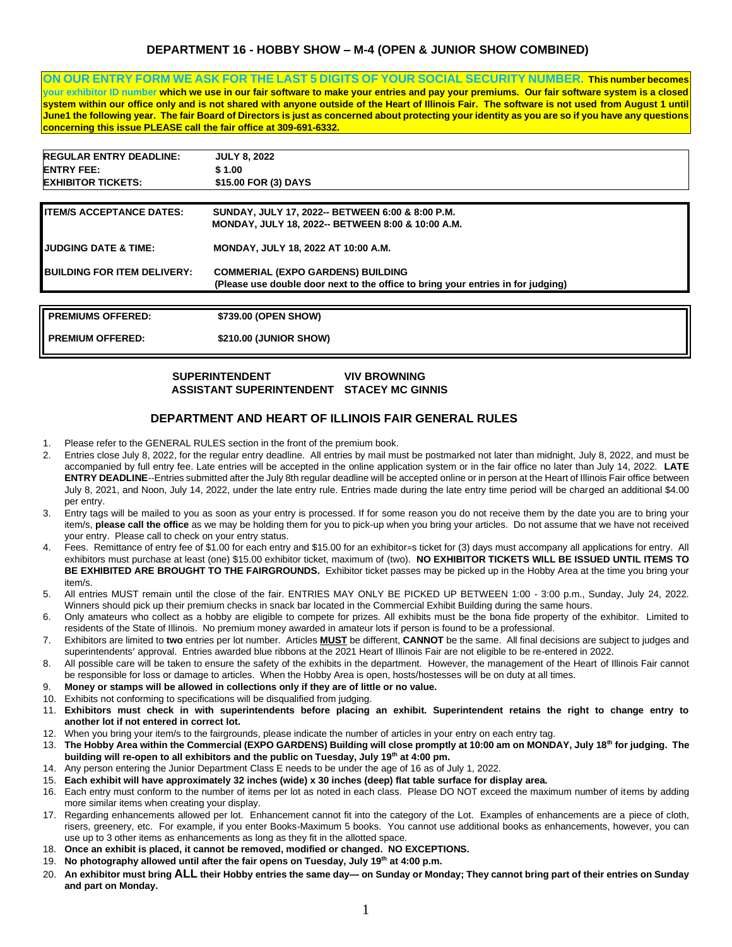## **DEPARTMENT 16 - HOBBY SHOW – M-4 (OPEN & JUNIOR SHOW COMBINED)**

**ON OUR ENTRY FORM WE ASK FOR THE LAST 5 DIGITS OF YOUR SOCIAL SECURITY NUMBER. This number becomes your exhibitor ID number which we use in our fair software to make your entries and pay your premiums. Our fair software system is a closed system within our office only and is not shared with anyone outside of the Heart of Illinois Fair. The software is not used from August 1 until June1 the following year. The fair Board of Directors is just as concerned about protecting your identity as you are so if you have any questions concerning this issue PLEASE call the fair office at 309-691-6332.** 

| <b>REGULAR ENTRY DEADLINE:</b>     | <b>JULY 8, 2022</b>                                                              |
|------------------------------------|----------------------------------------------------------------------------------|
| <b>ENTRY FEE:</b>                  | \$1.00                                                                           |
| <b>EXHIBITOR TICKETS:</b>          | \$15.00 FOR (3) DAYS                                                             |
|                                    |                                                                                  |
| <b>ITEM/S ACCEPTANCE DATES:</b>    | SUNDAY, JULY 17, 2022-- BETWEEN 6:00 & 8:00 P.M.                                 |
|                                    | <b>MONDAY, JULY 18, 2022-- BETWEEN 8:00 &amp; 10:00 A.M.</b>                     |
| <b>JUDGING DATE &amp; TIME:</b>    | MONDAY, JULY 18, 2022 AT 10:00 A.M.                                              |
| <b>BUILDING FOR ITEM DELIVERY:</b> | <b>COMMERIAL (EXPO GARDENS) BUILDING</b>                                         |
|                                    | (Please use double door next to the office to bring your entries in for judging) |
|                                    |                                                                                  |
| <b>PREMIUMS OFFERED:</b>           | \$739.00 (OPEN SHOW)                                                             |
| <b>PREMIUM OFFERED:</b>            | \$210.00 (JUNIOR SHOW)                                                           |

### **SUPERINTENDENT VIV BROWNING ASSISTANT SUPERINTENDENT STACEY MC GINNIS**

## **DEPARTMENT AND HEART OF ILLINOIS FAIR GENERAL RULES**

- 1. Please refer to the GENERAL RULES section in the front of the premium book.
- 2. Entries close July 8, 2022, for the regular entry deadline. All entries by mail must be postmarked not later than midnight, July 8, 2022, and must be accompanied by full entry fee. Late entries will be accepted in the online application system or in the fair office no later than July 14, 2022. **LATE ENTRY DEADLINE**--Entries submitted after the July 8th regular deadline will be accepted online or in person at the Heart of Illinois Fair office between July 8, 2021, and Noon, July 14, 2022, under the late entry rule. Entries made during the late entry time period will be charged an additional \$4.00 per entry.
- 3. Entry tags will be mailed to you as soon as your entry is processed. If for some reason you do not receive them by the date you are to bring your item/s, **please call the office** as we may be holding them for you to pick-up when you bring your articles. Do not assume that we have not received your entry. Please call to check on your entry status.
- 4. Fees. Remittance of entry fee of \$1.00 for each entry and \$15.00 for an exhibitor=s ticket for (3) days must accompany all applications for entry. All exhibitors must purchase at least (one) \$15.00 exhibitor ticket, maximum of (two). **NO EXHIBITOR TICKETS WILL BE ISSUED UNTIL ITEMS TO BE EXHIBITED ARE BROUGHT TO THE FAIRGROUNDS.** Exhibitor ticket passes may be picked up in the Hobby Area at the time you bring your item/s.
- 5. All entries MUST remain until the close of the fair. ENTRIES MAY ONLY BE PICKED UP BETWEEN 1:00 3:00 p.m., Sunday, July 24, 2022. Winners should pick up their premium checks in snack bar located in the Commercial Exhibit Building during the same hours.
- 6. Only amateurs who collect as a hobby are eligible to compete for prizes. All exhibits must be the bona fide property of the exhibitor. Limited to residents of the State of Illinois. No premium money awarded in amateur lots if person is found to be a professional.
- 7. Exhibitors are limited to **two** entries per lot number. Articles **MUST** be different, **CANNOT** be the same. All final decisions are subject to judges and superintendents' approval. Entries awarded blue ribbons at the 2021 Heart of Illinois Fair are not eligible to be re-entered in 2022.
- 8. All possible care will be taken to ensure the safety of the exhibits in the department. However, the management of the Heart of Illinois Fair cannot be responsible for loss or damage to articles. When the Hobby Area is open, hosts/hostesses will be on duty at all times.
- 9. **Money or stamps will be allowed in collections only if they are of little or no value.**
- 10. Exhibits not conforming to specifications will be disqualified from judging.
- 11. **Exhibitors must check in with superintendents before placing an exhibit. Superintendent retains the right to change entry to another lot if not entered in correct lot.**
- 12. When you bring your item/s to the fairgrounds, please indicate the number of articles in your entry on each entry tag.
- 13. **The Hobby Area within the Commercial (EXPO GARDENS) Building will close promptly at 10:00 am on MONDAY, July 18th for judging. The building will re-open to all exhibitors and the public on Tuesday, July 19th at 4:00 pm.**
- 14. Any person entering the Junior Department Class E needs to be under the age of 16 as of July 1, 2022.
- 15. **Each exhibit will have approximately 32 inches (wide) x 30 inches (deep) flat table surface for display area.**
- 16. Each entry must conform to the number of items per lot as noted in each class. Please DO NOT exceed the maximum number of items by adding more similar items when creating your display.
- 17. Regarding enhancements allowed per lot. Enhancement cannot fit into the category of the Lot. Examples of enhancements are a piece of cloth, risers, greenery, etc. For example, if you enter Books-Maximum 5 books. You cannot use additional books as enhancements, however, you can use up to 3 other items as enhancements as long as they fit in the allotted space.
- 18. **Once an exhibit is placed, it cannot be removed, modified or changed. NO EXCEPTIONS.**
- 19. **No photography allowed until after the fair opens on Tuesday, July 19th at 4:00 p.m.**
- 20. **An exhibitor must bring ALL their Hobby entries the same day— on Sunday or Monday; They cannot bring part of their entries on Sunday and part on Monday.**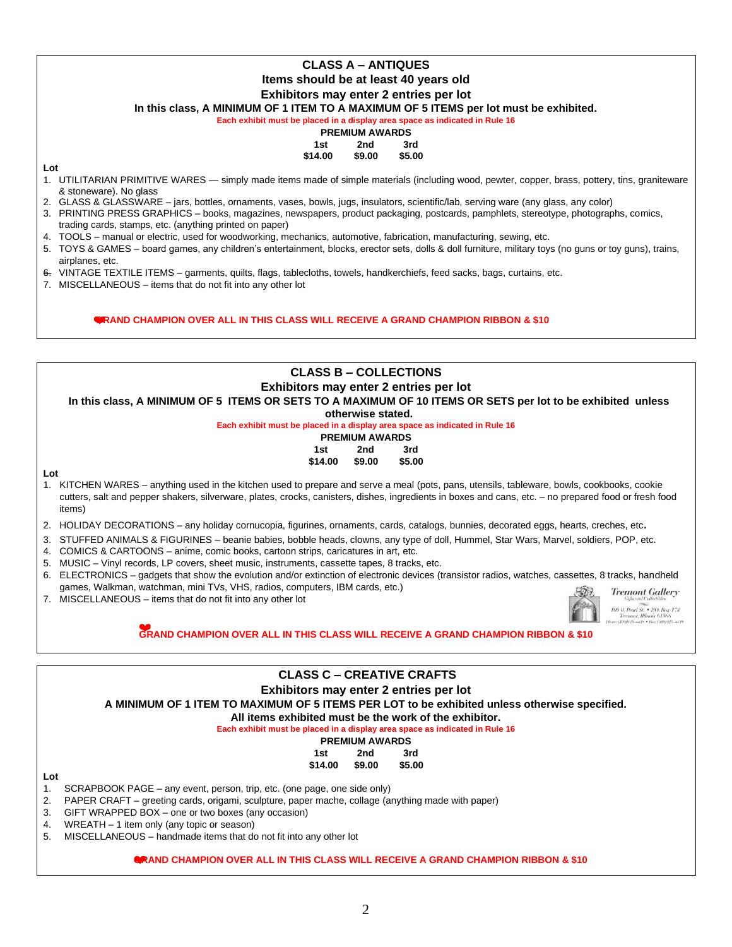# **CLASS A – ANTIQUES Items should be at least 40 years old Exhibitors may enter 2 entries per lot**

**In this class, A MINIMUM OF 1 ITEM TO A MAXIMUM OF 5 ITEMS per lot must be exhibited.** 

**Each exhibit must be placed in a display area space as indicated in Rule 16** 

#### **PREMIUM AWARDS 1st 2nd 3rd**

# **\$14.00 \$9.00 \$5.00**

**Lot** 

- 1. UTILITARIAN PRIMITIVE WARES simply made items made of simple materials (including wood, pewter, copper, brass, pottery, tins, graniteware & stoneware). No glass
- 2. GLASS & GLASSWARE jars, bottles, ornaments, vases, bowls, jugs, insulators, scientific/lab, serving ware (any glass, any color)
- 3. PRINTING PRESS GRAPHICS books, magazines, newspapers, product packaging, postcards, pamphlets, stereotype, photographs, comics, trading cards, stamps, etc. (anything printed on paper)
- 4. TOOLS manual or electric, used for woodworking, mechanics, automotive, fabrication, manufacturing, sewing, etc.
- 5. TOYS & GAMES board games, any children's entertainment, blocks, erector sets, dolls & doll furniture, military toys (no guns or toy guns), trains, airplanes, etc.
- 6. VINTAGE TEXTILE ITEMS garments, quilts, flags, tablecloths, towels, handkerchiefs, feed sacks, bags, curtains, etc.
- 7. MISCELLANEOUS items that do not fit into any other lot

**GRAND CHAMPION OVER ALL IN THIS CLASS WILL RECEIVE A GRAND CHAMPION RIBBON & \$10**

## **CLASS B – COLLECTIONS Exhibitors may enter 2 entries per lot In this class, A MINIMUM OF 5 ITEMS OR SETS TO A MAXIMUM OF 10 ITEMS OR SETS per lot to be exhibited unless otherwise stated. Each exhibit must be placed in a display area space as indicated in Rule 16 PREMIUM AWARDS 1st 2nd 3rd \$14.00 \$9.00 \$5.00 Lot**  1. KITCHEN WARES – anything used in the kitchen used to prepare and serve a meal (pots, pans, utensils, tableware, bowls, cookbooks, cookie cutters, salt and pepper shakers, silverware, plates, crocks, canisters, dishes, ingredients in boxes and cans, etc. – no prepared food or fresh food items) 2. HOLIDAY DECORATIONS – any holiday cornucopia, figurines, ornaments, cards, catalogs, bunnies, decorated eggs, hearts, creches, etc. 3. STUFFED ANIMALS & FIGURINES – beanie babies, bobble heads, clowns, any type of doll, Hummel, Star Wars, Marvel, soldiers, POP, etc. 4. COMICS & CARTOONS – anime, comic books, cartoon strips, caricatures in art, etc. 5. MUSIC – Vinyl records, LP covers, sheet music, instruments, cassette tapes, 8 tracks, etc. 6. ELECTRONICS – gadgets that show the evolution and/or extinction of electronic devices (transistor radios, watches, cassettes, 8 tracks, handheld games, Walkman, watchman, mini TVs, VHS, radios, computers, IBM cards, etc.) **Tremont Gallery** 7. MISCELLANEOUS – items that do not fit into any other lot 109 II. Pearl St. . P.O. Box 173 **GRAND CHAMPION OVER ALL IN THIS CLASS WILL RECEIVE A GRAND CHAMPION RIBBON & \$10 CLASS C – CREATIVE CRAFTS Exhibitors may enter 2 entries per lot**

**A MINIMUM OF 1 ITEM TO MAXIMUM OF 5 ITEMS PER LOT to be exhibited unless otherwise specified.** 

**All items exhibited must be the work of the exhibitor.** 

#### **Each exhibit must be placed in a display area space as indicated in Rule 16**

|     | <b>PREMIUM AWARDS</b> |        |  |
|-----|-----------------------|--------|--|
| 1st | 2nd                   | 3rd    |  |
|     | \$14.00 \$9.00        | \$5.00 |  |

#### **Lot**

1. SCRAPBOOK PAGE – any event, person, trip, etc. (one page, one side only)

2. PAPER CRAFT – greeting cards, origami, sculpture, paper mache, collage (anything made with paper)

3. GIFT WRAPPED BOX – one or two boxes (any occasion)

4. WREATH – 1 item only (any topic or season)

5. MISCELLANEOUS – handmade items that do not fit into any other lot

#### **GRAND CHAMPION OVER ALL IN THIS CLASS WILL RECEIVE A GRAND CHAMPION RIBBON & \$10**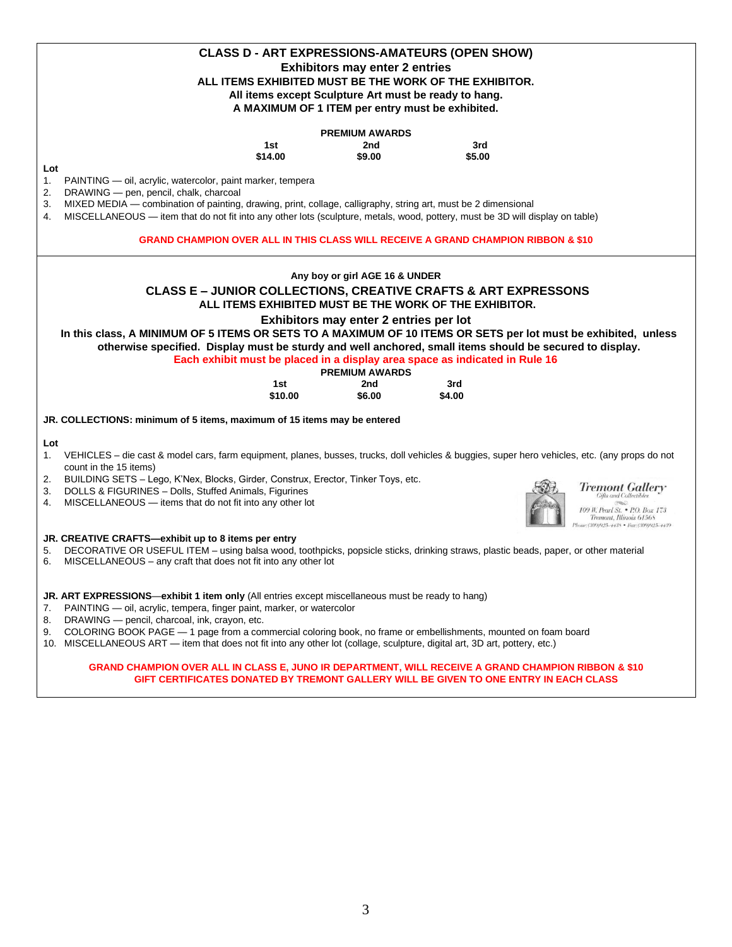|                                                                                                                                                                                            | <b>CLASS D - ART EXPRESSIONS-AMATEURS (OPEN SHOW)</b>  |        |                                                             |  |  |  |  |
|--------------------------------------------------------------------------------------------------------------------------------------------------------------------------------------------|--------------------------------------------------------|--------|-------------------------------------------------------------|--|--|--|--|
|                                                                                                                                                                                            | <b>Exhibitors may enter 2 entries</b>                  |        |                                                             |  |  |  |  |
|                                                                                                                                                                                            | ALL ITEMS EXHIBITED MUST BE THE WORK OF THE EXHIBITOR. |        |                                                             |  |  |  |  |
| All items except Sculpture Art must be ready to hang.                                                                                                                                      |                                                        |        |                                                             |  |  |  |  |
| A MAXIMUM OF 1 ITEM per entry must be exhibited.                                                                                                                                           |                                                        |        |                                                             |  |  |  |  |
|                                                                                                                                                                                            |                                                        |        |                                                             |  |  |  |  |
|                                                                                                                                                                                            | <b>PREMIUM AWARDS</b>                                  |        |                                                             |  |  |  |  |
| 1st                                                                                                                                                                                        | 2nd                                                    | 3rd    |                                                             |  |  |  |  |
| \$14.00                                                                                                                                                                                    | \$9.00                                                 | \$5.00 |                                                             |  |  |  |  |
| Lot                                                                                                                                                                                        |                                                        |        |                                                             |  |  |  |  |
| PAINTING - oil, acrylic, watercolor, paint marker, tempera<br>1.                                                                                                                           |                                                        |        |                                                             |  |  |  |  |
| 2.<br>DRAWING - pen, pencil, chalk, charcoal<br>MIXED MEDIA — combination of painting, drawing, print, collage, calligraphy, string art, must be 2 dimensional                             |                                                        |        |                                                             |  |  |  |  |
| 3.<br>MISCELLANEOUS - item that do not fit into any other lots (sculpture, metals, wood, pottery, must be 3D will display on table)<br>4.                                                  |                                                        |        |                                                             |  |  |  |  |
|                                                                                                                                                                                            |                                                        |        |                                                             |  |  |  |  |
| <b>GRAND CHAMPION OVER ALL IN THIS CLASS WILL RECEIVE A GRAND CHAMPION RIBBON &amp; \$10</b>                                                                                               |                                                        |        |                                                             |  |  |  |  |
|                                                                                                                                                                                            |                                                        |        |                                                             |  |  |  |  |
|                                                                                                                                                                                            | Any boy or girl AGE 16 & UNDER                         |        |                                                             |  |  |  |  |
| <b>CLASS E - JUNIOR COLLECTIONS, CREATIVE CRAFTS &amp; ART EXPRESSONS</b>                                                                                                                  |                                                        |        |                                                             |  |  |  |  |
|                                                                                                                                                                                            | ALL ITEMS EXHIBITED MUST BE THE WORK OF THE EXHIBITOR. |        |                                                             |  |  |  |  |
|                                                                                                                                                                                            | Exhibitors may enter 2 entries per lot                 |        |                                                             |  |  |  |  |
| In this class, A MINIMUM OF 5 ITEMS OR SETS TO A MAXIMUM OF 10 ITEMS OR SETS per lot must be exhibited, unless                                                                             |                                                        |        |                                                             |  |  |  |  |
| otherwise specified. Display must be sturdy and well anchored, small items should be secured to display.                                                                                   |                                                        |        |                                                             |  |  |  |  |
| Each exhibit must be placed in a display area space as indicated in Rule 16                                                                                                                |                                                        |        |                                                             |  |  |  |  |
|                                                                                                                                                                                            | <b>PREMIUM AWARDS</b>                                  |        |                                                             |  |  |  |  |
| 1st                                                                                                                                                                                        | 2nd                                                    | 3rd    |                                                             |  |  |  |  |
| \$10.00                                                                                                                                                                                    | \$6.00                                                 | \$4.00 |                                                             |  |  |  |  |
| JR. COLLECTIONS: minimum of 5 items, maximum of 15 items may be entered                                                                                                                    |                                                        |        |                                                             |  |  |  |  |
|                                                                                                                                                                                            |                                                        |        |                                                             |  |  |  |  |
| Lot<br>VEHICLES – die cast & model cars, farm equipment, planes, busses, trucks, doll vehicles & buggies, super hero vehicles, etc. (any props do not                                      |                                                        |        |                                                             |  |  |  |  |
| 1.<br>count in the 15 items)                                                                                                                                                               |                                                        |        |                                                             |  |  |  |  |
| BUILDING SETS - Lego, K'Nex, Blocks, Girder, Construx, Erector, Tinker Toys, etc.<br>2.                                                                                                    |                                                        |        |                                                             |  |  |  |  |
| <b>Tremont Gallery</b><br>DOLLS & FIGURINES - Dolls, Stuffed Animals, Figurines<br>3.                                                                                                      |                                                        |        |                                                             |  |  |  |  |
| <b>Gifts and Collectibles</b><br>MISCELLANEOUS - items that do not fit into any other lot<br>4.                                                                                            |                                                        |        |                                                             |  |  |  |  |
|                                                                                                                                                                                            |                                                        |        | 109 W. Pearl St. • P.O. Box 173.<br>Tremont, Illinois 61568 |  |  |  |  |
|                                                                                                                                                                                            |                                                        |        | one: (309)925-4438 • Fax: (309)925-4439                     |  |  |  |  |
| JR. CREATIVE CRAFTS-exhibit up to 8 items per entry<br>DECORATIVE OR USEFUL ITEM - using balsa wood, toothpicks, popsicle sticks, drinking straws, plastic beads, paper, or other material |                                                        |        |                                                             |  |  |  |  |
| 5.<br>MISCELLANEOUS - any craft that does not fit into any other lot<br>6.                                                                                                                 |                                                        |        |                                                             |  |  |  |  |
|                                                                                                                                                                                            |                                                        |        |                                                             |  |  |  |  |
|                                                                                                                                                                                            |                                                        |        |                                                             |  |  |  |  |
| JR. ART EXPRESSIONS—exhibit 1 item only (All entries except miscellaneous must be ready to hang)                                                                                           |                                                        |        |                                                             |  |  |  |  |
| 7. PAINTING — oil, acrylic, tempera, finger paint, marker, or watercolor<br>8. DRAWING - pencil, charcoal, ink, crayon, etc.                                                               |                                                        |        |                                                             |  |  |  |  |
| 9. COLORING BOOK PAGE - 1 page from a commercial coloring book, no frame or embellishments, mounted on foam board                                                                          |                                                        |        |                                                             |  |  |  |  |
| 10. MISCELLANEOUS ART - item that does not fit into any other lot (collage, sculpture, digital art, 3D art, pottery, etc.)                                                                 |                                                        |        |                                                             |  |  |  |  |
|                                                                                                                                                                                            |                                                        |        |                                                             |  |  |  |  |
| GRAND CHAMPION OVER ALL IN CLASS E, JUNO IR DEPARTMENT, WILL RECEIVE A GRAND CHAMPION RIBBON & \$10                                                                                        |                                                        |        |                                                             |  |  |  |  |
| GIFT CERTIFICATES DONATED BY TREMONT GALLERY WILL BE GIVEN TO ONE ENTRY IN EACH CLASS                                                                                                      |                                                        |        |                                                             |  |  |  |  |